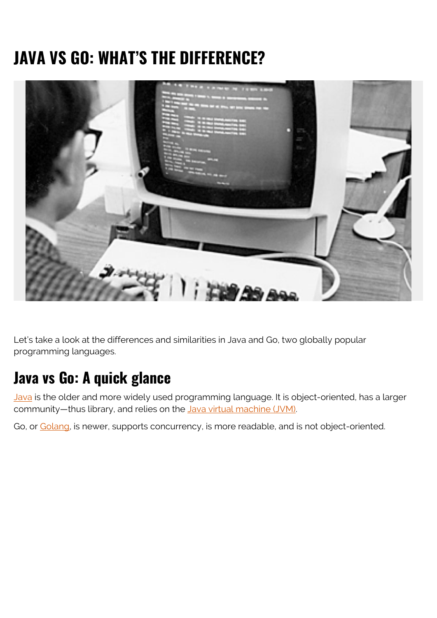# **JAVA VS GO: WHAT'S THE DIFFERENCE?**



Let's take a look at the differences and similarities in Java and Go, two globally popular programming languages.

### **Java vs Go: A quick glance**

[Java](https://www.java.com/en/) is the older and more widely used programming language. It is object-oriented, has a larger community—thus library, and relies on the [Java virtual machine \(JVM\).](https://en.wikipedia.org/wiki/Java_virtual_machine)

Go, or [Golang,](https://golang.org/) is newer, supports concurrency, is more readable, and is not object-oriented.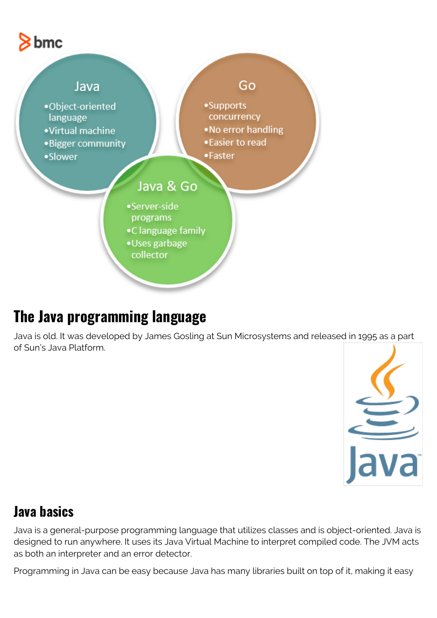



### **The Java programming language**

Java is old. It was developed by James Gosling at Sun Microsystems and released in 1995 as a part of Sun's Java Platform.



#### **Java basics**

Java is a general-purpose programming language that utilizes classes and is object-oriented. Java is designed to run anywhere. It uses its Java Virtual Machine to interpret compiled code. The JVM acts as both an interpreter and an error detector.

Programming in Java can be easy because Java has many libraries built on top of it, making it easy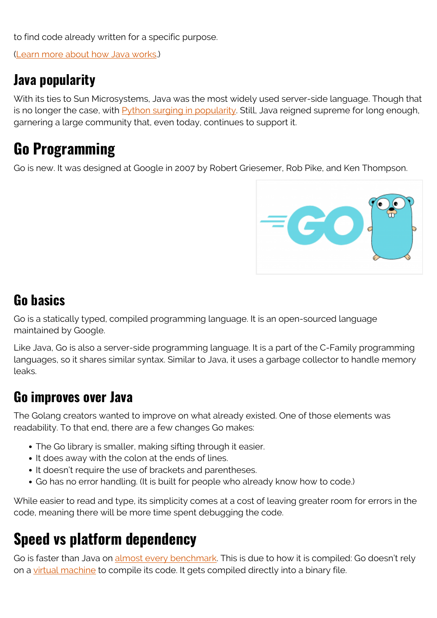to find code already written for a specific purpose.

([Learn more about how Java works](https://blogs.bmc.com/blogs/java-interview-questions/).)

#### **Java popularity**

With its ties to Sun Microsystems, Java was the most widely used server-side language. Though that is no longer the case, with  $Py$ thon surging in popularity. Still, Java reigned supreme for long enough, garnering a large community that, even today, continues to support it.

# **Go Programming**

Go is new. It was designed at Google in 2007 by Robert Griesemer, Rob Pike, and Ken Thompson.



#### **Go basics**

Go is a statically typed, compiled programming language. It is an open-sourced language maintained by Google.

Like Java, Go is also a server-side programming language. It is a part of the C-Family programming languages, so it shares similar syntax. Similar to Java, it uses a garbage collector to handle memory leaks.

#### **Go improves over Java**

The Golang creators wanted to improve on what already existed. One of those elements was readability. To that end, there are a few changes Go makes:

- The Go library is smaller, making sifting through it easier.
- It does away with the colon at the ends of lines.
- It doesn't require the use of brackets and parentheses.
- Go has no error handling. (It is built for people who already know how to code.)

While easier to read and type, its simplicity comes at a cost of leaving greater room for errors in the code, meaning there will be more time spent debugging the code.

## **Speed vs platform dependency**

Go is faster than Java on [almost every benchmark](https://benchmarksgame-team.pages.debian.net/benchmarksgame/fastest/go.html). This is due to how it is compiled: Go doesn't rely on a [virtual machine](https://blogs.bmc.com/blogs/containers-vs-virtual-machines/) to compile its code. It gets compiled directly into a binary file.